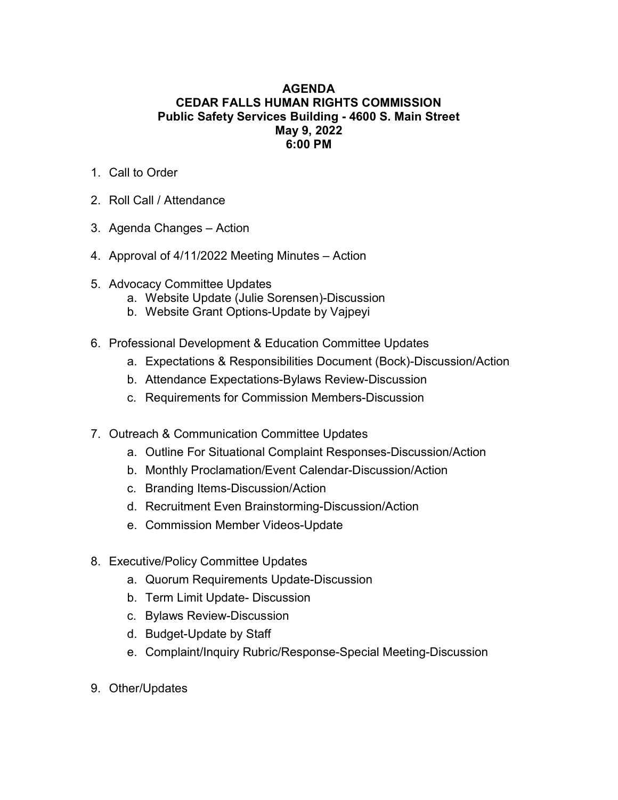## AGENDA CEDAR FALLS HUMAN RIGHTS COMMISSION Public Safety Services Building - 4600 S. Main Street May 9, 2022 6:00 PM

- 1. Call to Order
- 2. Roll Call / Attendance
- 3. Agenda Changes Action
- 4. Approval of 4/11/2022 Meeting Minutes Action
- 5. Advocacy Committee Updates
	- a. Website Update (Julie Sorensen)-Discussion
	- b. Website Grant Options-Update by Vajpeyi
- 6. Professional Development & Education Committee Updates
	- a. Expectations & Responsibilities Document (Bock)-Discussion/Action
	- b. Attendance Expectations-Bylaws Review-Discussion
	- c. Requirements for Commission Members-Discussion
- 7. Outreach & Communication Committee Updates
	- a. Outline For Situational Complaint Responses-Discussion/Action
	- b. Monthly Proclamation/Event Calendar-Discussion/Action
	- c. Branding Items-Discussion/Action
	- d. Recruitment Even Brainstorming-Discussion/Action
	- e. Commission Member Videos-Update
- 8. Executive/Policy Committee Updates
	- a. Quorum Requirements Update-Discussion
	- b. Term Limit Update- Discussion
	- c. Bylaws Review-Discussion
	- d. Budget-Update by Staff
	- e. Complaint/Inquiry Rubric/Response-Special Meeting-Discussion
- 9. Other/Updates